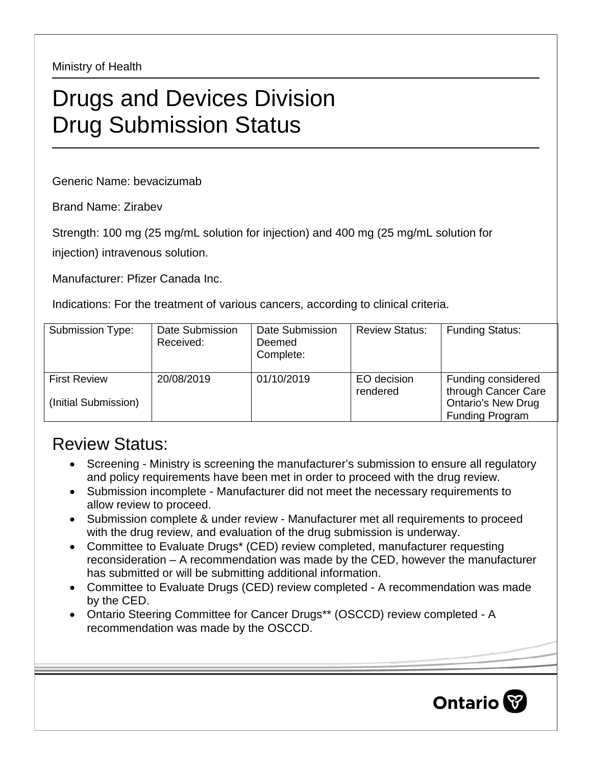Ministry of Health

## Drugs and Devices Division Drug Submission Status

Generic Name: bevacizumab

Brand Name: Zirabev

Strength: 100 mg (25 mg/mL solution for injection) and 400 mg (25 mg/mL solution for

injection) intravenous solution.

Manufacturer: Pfizer Canada Inc.

Indications: For the treatment of various cancers, according to clinical criteria.

| Submission Type:                            | Date Submission<br>Received: | Date Submission<br>Deemed<br>Complete: | <b>Review Status:</b>   | <b>Funding Status:</b>                                                                    |
|---------------------------------------------|------------------------------|----------------------------------------|-------------------------|-------------------------------------------------------------------------------------------|
| <b>First Review</b><br>(Initial Submission) | 20/08/2019                   | 01/10/2019                             | EO decision<br>rendered | Funding considered<br>through Cancer Care<br><b>Ontario's New Drug</b><br>Funding Program |

## Review Status:

- Screening Ministry is screening the manufacturer's submission to ensure all regulatory and policy requirements have been met in order to proceed with the drug review.
- Submission incomplete Manufacturer did not meet the necessary requirements to allow review to proceed.
- Submission complete & under review Manufacturer met all requirements to proceed with the drug review, and evaluation of the drug submission is underway.
- Committee to Evaluate Drugs\* (CED) review completed, manufacturer requesting reconsideration – A recommendation was made by the CED, however the manufacturer has submitted or will be submitting additional information.
- Committee to Evaluate Drugs (CED) review completed A recommendation was made by the CED.
- Ontario Steering Committee for Cancer Drugs\*\* (OSCCD) review completed A recommendation was made by the OSCCD.